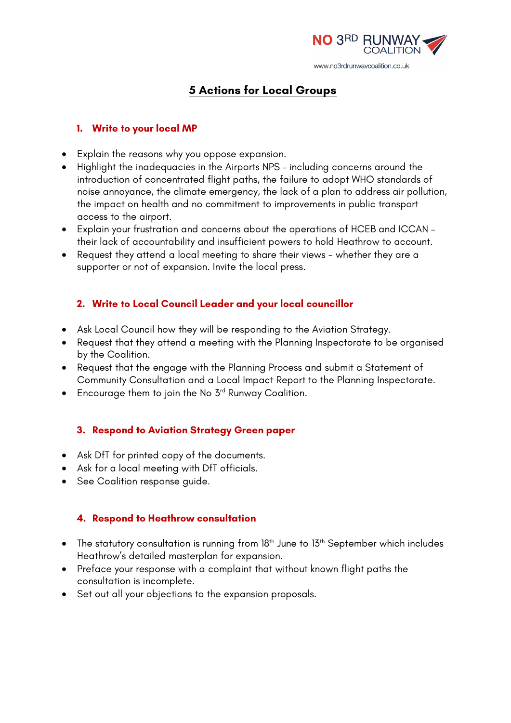

# **5 Actions for Local Groups**

# **1. Write to your local MP**

- Explain the reasons why you oppose expansion.
- Highlight the inadequacies in the Airports NPS including concerns around the introduction of concentrated flight paths, the failure to adopt WHO standards of noise annoyance, the climate emergency, the lack of a plan to address air pollution, the impact on health and no commitment to improvements in public transport access to the airport.
- Explain your frustration and concerns about the operations of HCEB and ICCAN their lack of accountability and insufficient powers to hold Heathrow to account.
- Request they attend a local meeting to share their views whether they are a supporter or not of expansion. Invite the local press.

# **2. Write to Local Council Leader and your local councillor**

- Ask Local Council how they will be responding to the Aviation Strategy.
- Request that they attend a meeting with the Planning Inspectorate to be organised by the Coalition.
- Request that the engage with the Planning Process and submit a Statement of Community Consultation and a Local Impact Report to the Planning Inspectorate.
- Encourage them to join the No 3<sup>rd</sup> Runway Coalition.

# **3. Respond to Aviation Strategy Green paper**

- Ask DfT for printed copy of the documents.
- Ask for a local meeting with DfT officials.
- See Coalition response guide.

### **4. Respond to Heathrow consultation**

- The statutory consultation is running from 18<sup>th</sup> June to 13<sup>th</sup> September which includes Heathrow's detailed masterplan for expansion.
- Preface your response with a complaint that without known flight paths the consultation is incomplete.
- Set out all your objections to the expansion proposals.